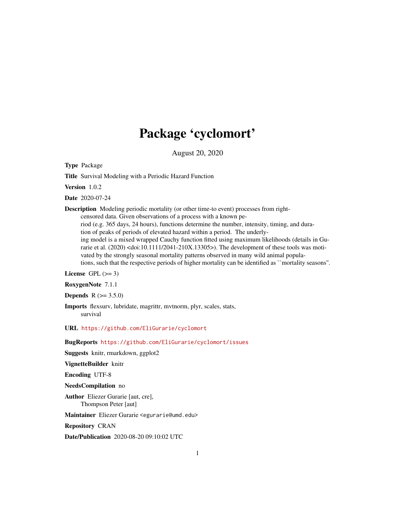# Package 'cyclomort'

August 20, 2020

<span id="page-0-0"></span>Type Package

Title Survival Modeling with a Periodic Hazard Function

Version 1.0.2

Date 2020-07-24

Description Modeling periodic mortality (or other time-to event) processes from right-

censored data. Given observations of a process with a known pe-

riod (e.g. 365 days, 24 hours), functions determine the number, intensity, timing, and duration of peaks of periods of elevated hazard within a period. The underlying model is a mixed wrapped Cauchy function fitted using maximum likelihoods (details in Gurarie et al. (2020) <doi:10.1111/2041-210X.13305>). The development of these tools was motivated by the strongly seasonal mortality patterns observed in many wild animal populations, such that the respective periods of higher mortality can be identified as ``mortality seasons''.

# License GPL  $(>= 3)$

RoxygenNote 7.1.1

**Depends**  $R (= 3.5.0)$ 

Imports flexsurv, lubridate, magrittr, mvtnorm, plyr, scales, stats, survival

URL <https://github.com/EliGurarie/cyclomort>

BugReports <https://github.com/EliGurarie/cyclomort/issues>

Suggests knitr, rmarkdown, ggplot2

VignetteBuilder knitr

Encoding UTF-8

NeedsCompilation no

Author Eliezer Gurarie [aut, cre], Thompson Peter [aut]

Maintainer Eliezer Gurarie <egurarie@umd.edu>

Repository CRAN

Date/Publication 2020-08-20 09:10:02 UTC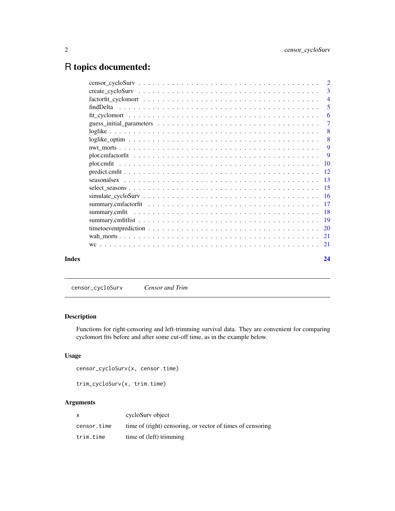# <span id="page-1-0"></span>R topics documented:

|       | $\overline{2}$ |                |
|-------|----------------|----------------|
|       |                | $\mathcal{R}$  |
|       |                | $\overline{4}$ |
|       |                | 5              |
|       |                | -6             |
|       |                | $\overline{7}$ |
|       |                | -8             |
|       |                | -8             |
|       |                | -9             |
|       |                | -9             |
|       |                |                |
|       |                |                |
|       |                |                |
|       |                |                |
|       |                |                |
|       |                |                |
|       |                |                |
|       |                |                |
|       |                |                |
|       |                |                |
|       |                |                |
| Index |                | 24             |

censor\_cycloSurv *Censor and Trim*

# Description

Functions for right-censoring and left-trimming survival data. They are convenient for comparing cyclomort fits before and after some cut-off time, as in the example below.

# Usage

```
censor_cycloSurv(x, censor.time)
```

```
trim_cycloSurv(x, trim.time)
```

| $\mathsf{x}$ | cycloSury object                                           |
|--------------|------------------------------------------------------------|
| censor.time  | time of (right) censoring, or vector of times of censoring |
| trim.time    | time of (left) trimming                                    |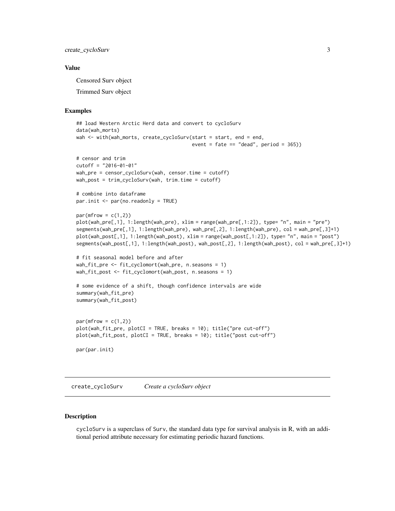<span id="page-2-0"></span>create\_cycloSurv 3

#### Value

Censored Surv object

Trimmed Surv object

#### Examples

```
## load Western Arctic Herd data and convert to cycloSurv
data(wah_morts)
wah <- with(wah_morts, create_cycloSurv(start = start, end = end,
                                        event = fate == "dead", period = 365))
# censor and trim
cutoff = "2016-01-01"
wah_pre = censor_cycloSurv(wah, censor.time = cutoff)
wah_post = trim_cycloSurv(wah, trim.time = cutoff)
# combine into dataframe
par.init \leq par(no.readonly = TRUE)par(mfrow = c(1,2))plot(wah_pre[,1], 1:length(wah_pre), xlim = range(wah_pre[,1:2]), type= "n", main = "pre")
segments(wah_pre[,1], 1:length(wah_pre), wah_pre[,2], 1:length(wah_pre), col = wah_pre[,3]+1)
plot(wah_post[,1], 1:length(wah_post), xlim = range(wah_post[,1:2]), type= "n", main = "post")
segments(wah_post[,1], 1:length(wah_post), wah_post[,2], 1:length(wah_post), col = wah_pre[,3]+1)
# fit seasonal model before and after
wah_fit_pre <- fit_cyclomort(wah_pre, n.seasons = 1)
wah_fit_post <- fit_cyclomort(wah_post, n.seasons = 1)
# some evidence of a shift, though confidence intervals are wide
summary(wah_fit_pre)
summary(wah_fit_post)
par(mfrow = c(1,2))plot(wah_fit_pre, plotCI = TRUE, breaks = 10); title("pre cut-off")
plot(wah_fit_post, plotCI = TRUE, breaks = 10); title("post cut-off")
par(par.init)
```
<span id="page-2-1"></span>create\_cycloSurv *Create a cycloSurv object*

#### Description

cycloSurv is a superclass of Surv, the standard data type for survival analysis in R, with an additional period attribute necessary for estimating periodic hazard functions.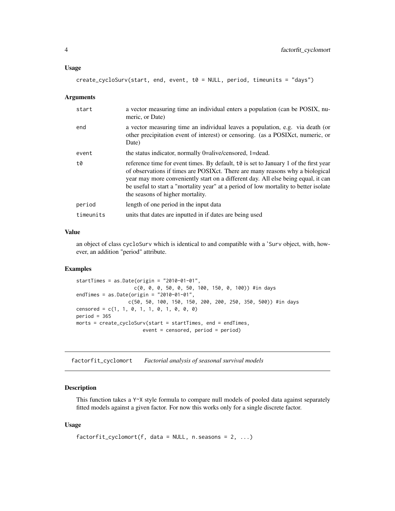#### <span id="page-3-0"></span>Usage

```
create_cycloSurv(start, end, event, t0 = NULL, period, timeunits = "days")
```
#### Arguments

| start     | a vector measuring time an individual enters a population (can be POSIX, nu-<br>meric, or Date)                                                                                                                                                                                                                                                                                         |
|-----------|-----------------------------------------------------------------------------------------------------------------------------------------------------------------------------------------------------------------------------------------------------------------------------------------------------------------------------------------------------------------------------------------|
| end       | a vector measuring time an individual leaves a population, e.g. via death (or<br>other precipitation event of interest) or censoring. (as a POSIXct, numeric, or<br>Date)                                                                                                                                                                                                               |
| event     | the status indicator, normally 0=alive/censored, 1=dead.                                                                                                                                                                                                                                                                                                                                |
| t0        | reference time for event times. By default, to is set to January 1 of the first year<br>of observations if times are POSIX ct. There are many reasons why a biological<br>year may more conveniently start on a different day. All else being equal, it can<br>be useful to start a "mortality year" at a period of low mortality to better isolate<br>the seasons of higher mortality. |
| period    | length of one period in the input data                                                                                                                                                                                                                                                                                                                                                  |
| timeunits | units that dates are inputted in if dates are being used                                                                                                                                                                                                                                                                                                                                |
|           |                                                                                                                                                                                                                                                                                                                                                                                         |

#### Value

an object of class cycloSurv which is identical to and compatible with a 'Surv object, with, however, an addition "period" attribute.

#### Examples

```
startTimes = as.Date(origin = "2010-01-01",
                    c(0, 0, 0, 50, 0, 50, 100, 150, 0, 100)) #in days
endTimes = as.Date(origin = "2010-01-01",
                  c(50, 50, 100, 150, 150, 200, 200, 250, 350, 500)) #in days
censored = c(1, 1, 0, 1, 1, 0, 1, 0, 0, 0)period = 365morts = create_cycloSurv(start = startTimes, end = endTimes,
                       event = censored, period = period)
```
<span id="page-3-1"></span>factorfit\_cyclomort *Factorial analysis of seasonal survival models*

#### Description

This function takes a Y~X style formula to compare null models of pooled data against separately fitted models against a given factor. For now this works only for a single discrete factor.

#### Usage

```
factorfit_cyclomort(f, data = NULL, n.seasons = 2, ...)
```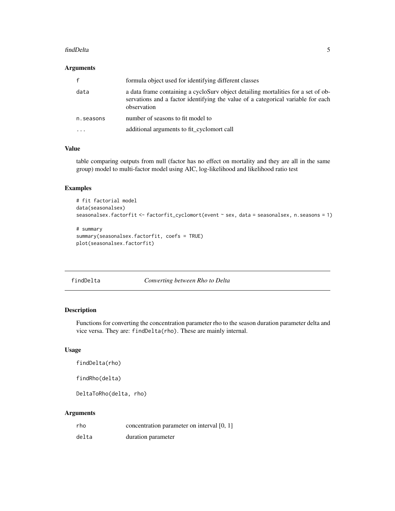#### <span id="page-4-0"></span>findDelta 5

#### Arguments

| $\mathbf{f}$ | formula object used for identifying different classes                                                                                                                                |
|--------------|--------------------------------------------------------------------------------------------------------------------------------------------------------------------------------------|
| data         | a data frame containing a cyclosury object detailing mortalities for a set of ob-<br>servations and a factor identifying the value of a categorical variable for each<br>observation |
| n. seasons   | number of seasons to fit model to                                                                                                                                                    |
|              | additional arguments to fit_cyclomort call                                                                                                                                           |

# Value

table comparing outputs from null (factor has no effect on mortality and they are all in the same group) model to multi-factor model using AIC, log-likelihood and likelihood ratio test

# Examples

```
# fit factorial model
data(seasonalsex)
seasonalsex.factorfit <- factorfit_cyclomort(event ~ sex, data = seasonalsex, n.seasons = 1)
# summary
summary(seasonalsex.factorfit, coefs = TRUE)
plot(seasonalsex.factorfit)
```
findDelta *Converting between Rho to Delta*

# Description

Functions for converting the concentration parameter rho to the season duration parameter delta and vice versa. They are: findDelta(rho). These are mainly internal.

#### Usage

findDelta(rho)

findRho(delta)

DeltaToRho(delta, rho)

| rho   | concentration parameter on interval [0, 1] |
|-------|--------------------------------------------|
| delta | duration parameter                         |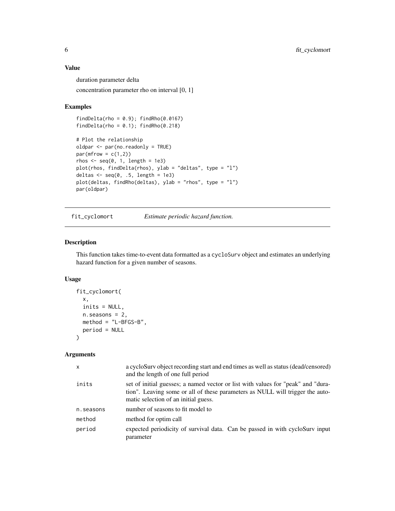#### <span id="page-5-0"></span>Value

duration parameter delta

concentration parameter rho on interval [0, 1]

## Examples

```
findDelta(rho = 0.9); findRho(0.0167)
findDelta(rho = 0.1); findRho(0.218)
# Plot the relationship
oldpar <- par(no.readonly = TRUE)
par(mfrow = c(1,2))rhos \leq seq(0, 1, length = 1e3)
plot(rhos, findDelta(rhos), ylab = "deltas", type = "l")
deltas \leq seq(0, .5, length = 1e3)
plot(deltas, findRho(deltas), ylab = "rhos", type = "l")
par(oldpar)
```
<span id="page-5-1"></span>fit\_cyclomort *Estimate periodic hazard function.*

#### Description

This function takes time-to-event data formatted as a cycloSurv object and estimates an underlying hazard function for a given number of seasons.

# Usage

```
fit_cyclomort(
  x,
  inits = NULL,
 n.seasons = 2,method = "L-BFGS-B",
 period = NULL
)
```

| $\mathsf{x}$ | a cycloSurv object recording start and end times as well as status (dead/censored)<br>and the length of one full period                                                                                   |
|--------------|-----------------------------------------------------------------------------------------------------------------------------------------------------------------------------------------------------------|
| inits        | set of initial guesses; a named vector or list with values for "peak" and "dura-<br>tion". Leaving some or all of these parameters as NULL will trigger the auto-<br>matic selection of an initial guess. |
| n. seasons   | number of seasons to fit model to                                                                                                                                                                         |
| method       | method for optim call                                                                                                                                                                                     |
| period       | expected periodicity of survival data. Can be passed in with cycloSurv input<br>parameter                                                                                                                 |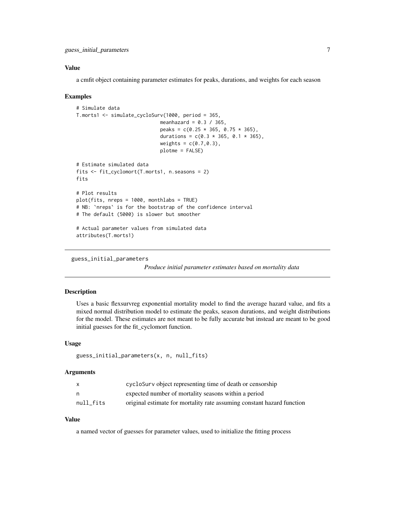### <span id="page-6-0"></span>Value

a cmfit object containing parameter estimates for peaks, durations, and weights for each season

#### Examples

```
# Simulate data
T.morts1 <- simulate_cycloSurv(1000, period = 365,
                              meanhazard = 0.3 / 365,
                              peaks = c(0.25 \times 365, 0.75 \times 365),
                              durations = c(0.3 \times 365, 0.1 \times 365),
                              weights = c(0.7, 0.3),plotme = FALSE)
# Estimate simulated data
fits <- fit_cyclomort(T.morts1, n.seasons = 2)
fits
# Plot results
plot(fits, nreps = 1000, monthlabs = TRUE)
# NB: `nreps` is for the bootstrap of the confidence interval
# The default (5000) is slower but smoother
# Actual parameter values from simulated data
attributes(T.morts1)
```
guess\_initial\_parameters

*Produce initial parameter estimates based on mortality data*

### Description

Uses a basic flexsurvreg exponential mortality model to find the average hazard value, and fits a mixed normal distribution model to estimate the peaks, season durations, and weight distributions for the model. These estimates are not meant to be fully accurate but instead are meant to be good initial guesses for the fit\_cyclomort function.

#### Usage

```
guess_initial_parameters(x, n, null_fits)
```
#### Arguments

|           | cyclosury object representing time of death or censorship              |
|-----------|------------------------------------------------------------------------|
|           | expected number of mortality seasons within a period                   |
| null fits | original estimate for mortality rate assuming constant hazard function |

# Value

a named vector of guesses for parameter values, used to initialize the fitting process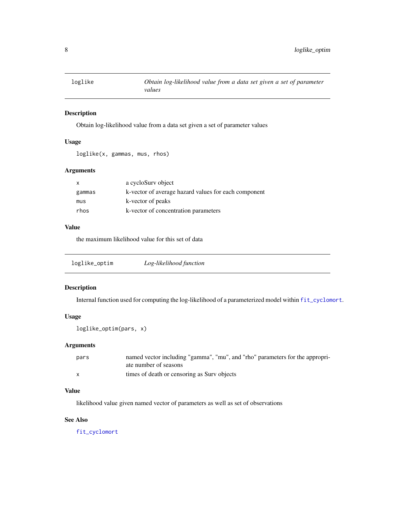<span id="page-7-0"></span>

# Description

Obtain log-likelihood value from a data set given a set of parameter values

# Usage

loglike(x, gammas, mus, rhos)

# Arguments

| $\mathsf{x}$ | a cycloSurv object                                   |
|--------------|------------------------------------------------------|
| gammas       | k-vector of average hazard values for each component |
| mus          | k-vector of peaks                                    |
| rhos         | k-vector of concentration parameters                 |

# Value

the maximum likelihood value for this set of data

| loglike_optim | Log-likelihood function |  |
|---------------|-------------------------|--|
|---------------|-------------------------|--|

# Description

Internal function used for computing the log-likelihood of a parameterized model within [fit\\_cyclomort](#page-5-1).

# Usage

```
loglike_optim(pars, x)
```
# Arguments

| pars         | named vector including "gamma", "mu", and "rho" parameters for the appropri- |
|--------------|------------------------------------------------------------------------------|
|              | ate number of seasons                                                        |
| $\mathbf{x}$ | times of death or censoring as Surv objects                                  |

# Value

likelihood value given named vector of parameters as well as set of observations

# See Also

[fit\\_cyclomort](#page-5-1)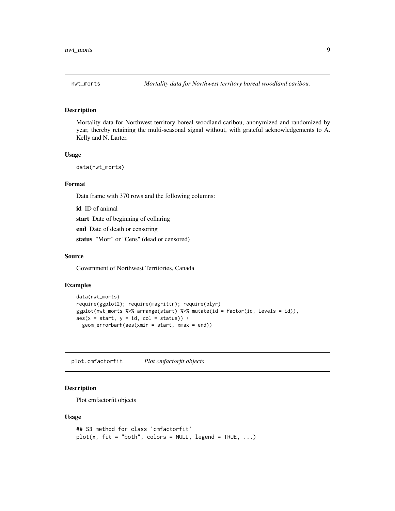<span id="page-8-0"></span>

#### Description

Mortality data for Northwest territory boreal woodland caribou, anonymized and randomized by year, thereby retaining the multi-seasonal signal without, with grateful acknowledgements to A. Kelly and N. Larter.

#### Usage

```
data(nwt_morts)
```
#### Format

Data frame with 370 rows and the following columns:

id ID of animal start Date of beginning of collaring end Date of death or censoring status "Mort" or "Cens" (dead or censored)

#### Source

Government of Northwest Territories, Canada

#### Examples

```
data(nwt_morts)
require(ggplot2); require(magrittr); require(plyr)
ggplot(nwt_morts %>% arrange(start) %>% mutate(id = factor(id, levels = id)),
aes(x = start, y = id, col = status)) +geom_errorbarh(aes(xmin = start, xmax = end))
```
plot.cmfactorfit *Plot cmfactorfit objects*

#### Description

Plot cmfactorfit objects

#### Usage

```
## S3 method for class 'cmfactorfit'
plot(x, fit = "both", colors = NULL, legend = TRUE, ...)
```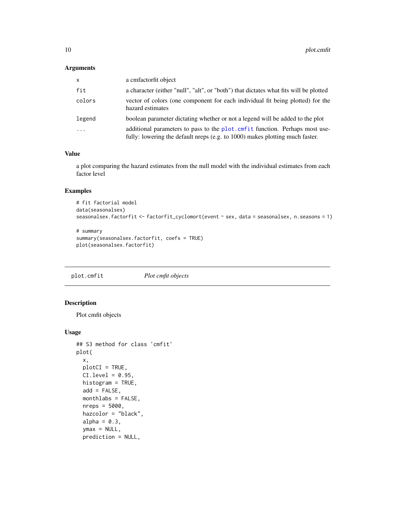# <span id="page-9-0"></span>Arguments

| $\mathsf{x}$ | a cmfactorfit object                                                                                                                                          |
|--------------|---------------------------------------------------------------------------------------------------------------------------------------------------------------|
| fit          | a character (either "null", "alt", or "both") that dictates what fits will be plotted                                                                         |
| colors       | vector of colors (one component for each individual fit being plotted) for the<br>hazard estimates                                                            |
| legend       | boolean parameter dictating whether or not a legend will be added to the plot                                                                                 |
| $\cdot$      | additional parameters to pass to the plot. cmf it function. Perhaps most use-<br>fully: lowering the default nreps (e.g. to 1000) makes plotting much faster. |

#### Value

a plot comparing the hazard estimates from the null model with the individual estimates from each factor level

# Examples

```
# fit factorial model
data(seasonalsex)
seasonalsex.factorfit <- factorfit_cyclomort(event ~ sex, data = seasonalsex, n.seasons = 1)
```

```
# summary
summary(seasonalsex.factorfit, coefs = TRUE)
plot(seasonalsex.factorfit)
```
<span id="page-9-1"></span>plot.cmfit *Plot cmfit objects*

# Description

Plot cmfit objects

#### Usage

```
## S3 method for class 'cmfit'
plot(
  x,
 plotCI = TRUE,
 CI. level = 0.95,histogram = TRUE,
  add = FALSE,
 monthlabs = FALSE,
  nreps = 5000,
  hazcolor = "black",
  alpha = 0.3,
  ymax = NULL,prediction = NULL,
```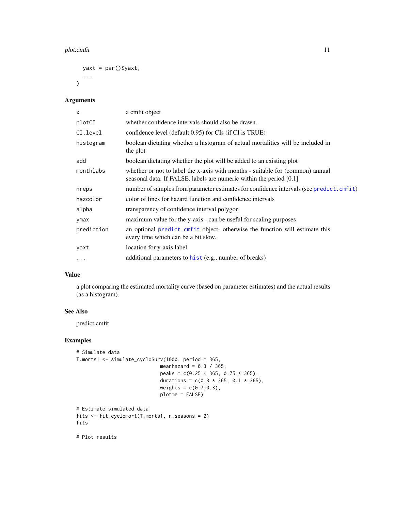#### <span id="page-10-0"></span>plot.cmfit 11

```
yaxt = par()$yaxt,
   ...
\mathcal{L}
```
# Arguments

| X          | a cmfit object                                                                                                                                         |
|------------|--------------------------------------------------------------------------------------------------------------------------------------------------------|
| plotCI     | whether confidence intervals should also be drawn.                                                                                                     |
| CI.level   | confidence level (default 0.95) for CIs (if CI is TRUE)                                                                                                |
| histogram  | boolean dictating whether a histogram of actual mortalities will be included in<br>the plot                                                            |
| add        | boolean dictating whether the plot will be added to an existing plot                                                                                   |
| monthlabs  | whether or not to label the x-axis with months - suitable for (common) annual<br>seasonal data. If FALSE, labels are numeric within the period $[0,1]$ |
| nreps      | number of samples from parameter estimates for confidence intervals (see predict.cmfit)                                                                |
| hazcolor   | color of lines for hazard function and confidence intervals                                                                                            |
| alpha      | transparency of confidence interval polygon                                                                                                            |
| ymax       | maximum value for the y-axis - can be useful for scaling purposes                                                                                      |
| prediction | an optional predict. cmfit object- otherwise the function will estimate this<br>every time which can be a bit slow.                                    |
| yaxt       | location for y-axis label                                                                                                                              |
| $\cdots$   | additional parameters to hist (e.g., number of breaks)                                                                                                 |

### Value

a plot comparing the estimated mortality curve (based on parameter estimates) and the actual results (as a histogram).

# See Also

predict.cmfit

# Examples

```
# Simulate data
T.morts1 <- simulate_cycloSurv(1000, period = 365,
                             meanhazard = 0.3 / 365,
                             peaks = c(0.25 * 365, 0.75 * 365),
                             durations = c(0.3 * 365, 0.1 * 365),
                             weights = c(0.7, 0.3),plotme = FALSE)
# Estimate simulated data
fits <- fit_cyclomort(T.morts1, n.seasons = 2)
fits
```
# Plot results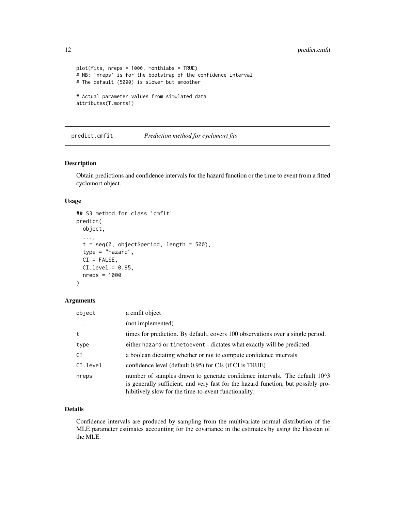```
plot(fits, nreps = 1000, monthlabs = TRUE)
# NB: `nreps` is for the bootstrap of the confidence interval
# The default (5000) is slower but smoother
# Actual parameter values from simulated data
attributes(T.morts1)
```
<span id="page-11-1"></span>predict.cmfit *Prediction method for cyclomort fits*

### Description

Obtain predictions and confidence intervals for the hazard function or the time to event from a fitted cyclomort object.

#### Usage

```
## S3 method for class 'cmfit'
predict(
 object,
  ...,
  t = seq(0, object$period, length = 500),type = "hazard",
  CI = FALSE,CI. level = 0.95,
  nreps = 1000
)
```
#### Arguments

| object   | a cmfit object                                                                                                                                                                                                                       |
|----------|--------------------------------------------------------------------------------------------------------------------------------------------------------------------------------------------------------------------------------------|
| $\cdots$ | (not implemented)                                                                                                                                                                                                                    |
| t        | times for prediction. By default, covers 100 observations over a single period.                                                                                                                                                      |
| type     | either hazard or time to event - dictates what exactly will be predicted                                                                                                                                                             |
| CI       | a boolean dictating whether or not to compute confidence intervals                                                                                                                                                                   |
| CI.level | confidence level (default 0.95) for CIs (if CI is TRUE)                                                                                                                                                                              |
| nreps    | number of samples drawn to generate confidence intervals. The default 10 <sup>1</sup> 3<br>is generally sufficient, and very fast for the hazard function, but possibly pro-<br>hibitively slow for the time-to-event functionality. |

# Details

Confidence intervals are produced by sampling from the multivariate normal distribution of the MLE parameter estimates accounting for the covariance in the estimates by using the Hessian of the MLE.

<span id="page-11-0"></span>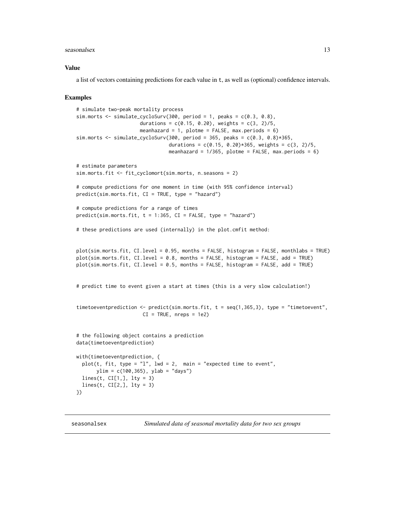#### <span id="page-12-0"></span>seasonalsex 13

#### Value

a list of vectors containing predictions for each value in t, as well as (optional) confidence intervals.

#### Examples

```
# simulate two-peak mortality process
sim.morts \le simulate_cycloSurv(300, period = 1, peaks = c(0.3, 0.8),
                      durations = c(0.15, 0.20), weights = c(3, 2)/5,
                      meanhazard = 1, plotme = FALSE, max.periods = 6)
sim.morts \le simulate_cycloSurv(300, period = 365, peaks = c(0.3, 0.8)*365,
                                durations = c(0.15, 0.20) *365, weights = c(3, 2)/5,
                                meanhazard = 1/365, plotme = FALSE, max.periods = 6)
# estimate parameters
sim.morts.fit <- fit_cyclomort(sim.morts, n.seasons = 2)
# compute predictions for one moment in time (with 95% confidence interval)
predict(sim.morts.fit, CI = TRUE, type = "hazard")
# compute predictions for a range of times
predict(sim.morts.fit, t = 1:365, CI = FALSE, type = "hazard")
# these predictions are used (internally) in the plot.cmfit method:
plot(sim.morts.fit, CI.level = 0.95, months = FALSE, histogram = FALSE, monthlabs = TRUE)
plot(sim.morts.fit, CI.level = 0.8, months = FALSE, histogram = FALSE, add = TRUE)
plot(sim.morts.fit, CI.level = 0.5, months = FALSE, histogram = FALSE, add = TRUE)
# predict time to event given a start at times (this is a very slow calculation!)
timetoeventprediction <- predict(sim.morts.fit, t = seq(1,365,3), type = "timetoevent",
                       CI = TRUE, nreps = 1e2)# the following object contains a prediction
data(timetoeventprediction)
with(timetoeventprediction, {
 plot(t, fit, type = "1", lwd = 2, main = "expected time to event",
      ylim = c(100, 365), ylab = "days")lines(t, CI[1,], lty = 3)
 lines(t, CI[2,], lty = 3)
})
```
seasonalsex *Simulated data of seasonal mortality data for two sex groups*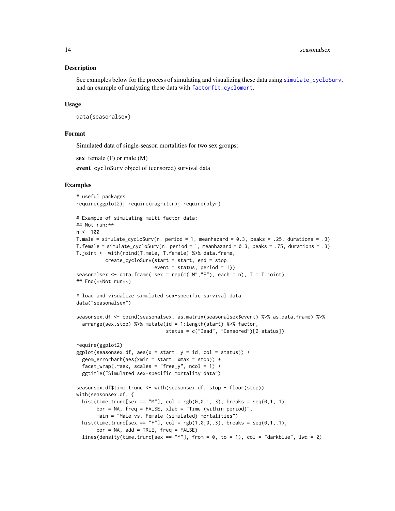#### <span id="page-13-0"></span>Description

See examples below for the process of simulating and visualizing these data using [simulate\\_cycloSurv](#page-15-1), and an example of analyzing these data with [factorfit\\_cyclomort](#page-3-1).

#### Usage

```
data(seasonalsex)
```
#### Format

Simulated data of single-season mortalities for two sex groups:

sex female  $(F)$  or male  $(M)$ 

event cycloSurv object of (censored) survival data

#### Examples

```
# useful packages
require(ggplot2); require(magrittr); require(plyr)
```

```
# Example of simulating multi-factor data:
## Not run:**
n < -100T.male = simulate_cycloSurv(n, period = 1, meanhazard = 0.3, peaks = .25, durations = .3)
T.female = simulate_cycloSurv(n, period = 1, meanhazard = 0.3, peaks = .75, durations = .3)
T.joint <- with(rbind(T.male, T.female) %>% data.frame,
          create_cycloSurv(start = start, end = stop,
                           event = status, period = 1))
seasonalsex <- data.frame( sex = rep(c("M", "F"), each = n), T = T.joint)## End(**Not run**)
# load and visualize simulated sex-specific survival data
data("seasonalsex")
seasonsex.df <- cbind(seasonalsex, as.matrix(seasonalsex$event) %>% as.data.frame) %>%
  arrange(sex,stop) %>% mutate(id = 1:length(start) %>% factor,
                               status = c("Dead", "Censored")[2-status])
require(ggplot2)
ggplot(seasonesx.df, aes(x = start, y = id, col = status)) +geom_errorbarh(aes(xmin = start, xmax = stop)) +
  facet_wrap(.^{\circ}sex, scales = "free_y", ncol = 1) +
  ggtitle("Simulated sex-specific mortality data")
seasonsex.df$time.trunc <- with(seasonsex.df, stop - floor(stop))
with(seasonsex.df, {
  hist(time.trunc[sex == "M"], col = rgb(0,0,1,.3), breaks = seq(0,1,.1),
       bor = NA, freq = FALSE, xlab = "Time (within period)",
       main = "Male vs. Female (simulated) mortalities")
  hist(time.trunc[sex == "F"], col = rgb(1, 0, 0, .3), breaks = seq(0, 1, .1),
       bor = NA, add = TRUE, freq = FALSE)
  lines(density(time.trunc[sex == "M"], from = 0, to = 1), col = "darkblue", lwd = 2)
```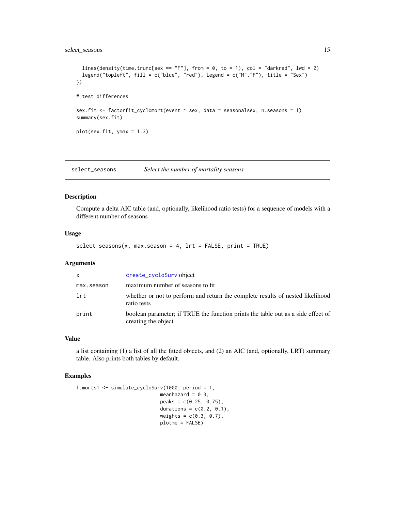# <span id="page-14-0"></span>select\_seasons 15

```
lines(density(time.trunc[sex == "F"], from = 0, to = 1), col = "darkred", lwd = 2)
 legend("topleft", fill = c("blue", "red"), legend = c("M","F"), title = "Sex")
})
# test differences
sex.fit <- factorfit_cyclomort(event ~ sex, data = seasonalsex, n.seasons = 1)
summary(sex.fit)
plot(sex.fit, ymax = 1.3)
```
<span id="page-14-1"></span>select\_seasons *Select the number of mortality seasons*

# Description

Compute a delta AIC table (and, optionally, likelihood ratio tests) for a sequence of models with a different number of seasons

# Usage

select\_seasons(x, max.season = 4, lrt = FALSE, print = TRUE)

#### Arguments

| $\mathsf{x}$ | create_cycloSurv object                                                                                 |
|--------------|---------------------------------------------------------------------------------------------------------|
| max.season   | maximum number of seasons to fit                                                                        |
| lrt          | whether or not to perform and return the complete results of nested likelihood<br>ratio tests           |
| print        | boolean parameter; if TRUE the function prints the table out as a side effect of<br>creating the object |

#### Value

a list containing (1) a list of all the fitted objects, and (2) an AIC (and, optionally, LRT) summary table. Also prints both tables by default.

# Examples

```
T.morts1 <- simulate_cycloSurv(1000, period = 1,
                            meanhazard = 0.3,
                            peaks = c(0.25, 0.75),
                            durations = c(0.2, 0.1),
                            weights = c(0.3, 0.7),plotme = FALSE)
```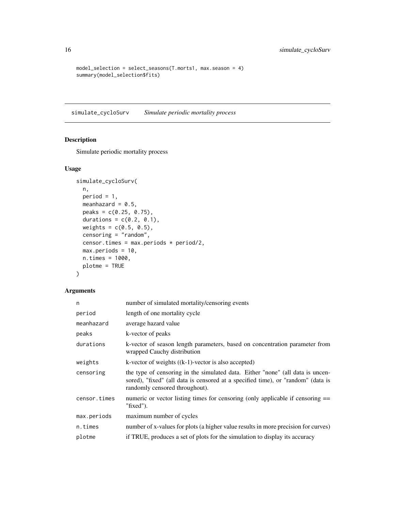```
model_selection = select_seasons(T.morts1, max.season = 4)
summary(model_selection$fits)
```
<span id="page-15-1"></span>simulate\_cycloSurv *Simulate periodic mortality process*

# Description

Simulate periodic mortality process

# Usage

```
simulate_cycloSurv(
 n,
 period = 1,
 meanhazard = 0.5,
 peaks = c(0.25, 0.75),
 durations = c(0.2, 0.1),
 weights = c(0.5, 0.5),censoring = "random",
 censor.times = max.periods * period/2,
 max.periods = 10,
 n.times = 1000,
 plotme = TRUE
)
```

| n            | number of simulated mortality/censoring events                                                                                                                                                       |
|--------------|------------------------------------------------------------------------------------------------------------------------------------------------------------------------------------------------------|
| period       | length of one mortality cycle                                                                                                                                                                        |
| meanhazard   | average hazard value                                                                                                                                                                                 |
| peaks        | k-vector of peaks                                                                                                                                                                                    |
| durations    | k-vector of season length parameters, based on concentration parameter from<br>wrapped Cauchy distribution                                                                                           |
| weights      | k-vector of weights $((k-1)$ -vector is also accepted)                                                                                                                                               |
| censoring    | the type of censoring in the simulated data. Either "none" (all data is uncen-<br>sored), "fixed" (all data is censored at a specified time), or "random" (data is<br>randomly censored throughout). |
| censor.times | numeric or vector listing times for censoring (only applicable if censoring ==<br>"fixed").                                                                                                          |
| max.periods  | maximum number of cycles                                                                                                                                                                             |
| n.times      | number of x-values for plots (a higher value results in more precision for curves)                                                                                                                   |
| plotme       | if TRUE, produces a set of plots for the simulation to display its accuracy                                                                                                                          |

<span id="page-15-0"></span>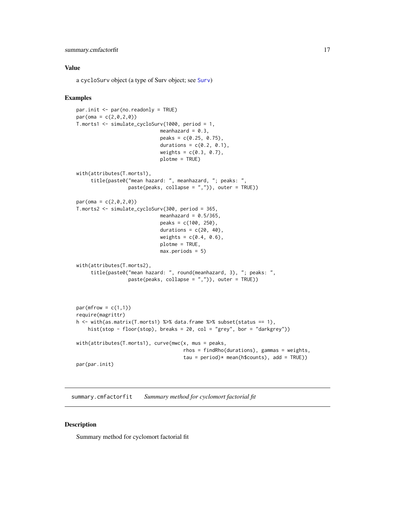# <span id="page-16-0"></span>summary.cmfactorfit 17

#### Value

a cycloSurv object (a type of Surv object; see [Surv](#page-0-0))

#### Examples

```
par.init <- par(no.readonly = TRUE)
par(oma = c(2, 0, 2, 0))T.morts1 <- simulate_cycloSurv(1000, period = 1,
                             meanhazard = 0.3,
                             peaks = c(0.25, 0.75),
                             durations = c(0.2, 0.1),
                             weights = c(0.3, 0.7),plotme = TRUE)
with(attributes(T.morts1),
     title(paste0("mean hazard: ", meanhazard, "; peaks: ",
                  paste(peaks, collapse = ",")), outer = TRUE))
par(oma = c(2, 0, 2, 0))T.morts2 <- simulate_cycloSurv(300, period = 365,
                             meanhazard = 0.5/365,
                             peaks = c(100, 250),
                             durations = c(20, 40),
                             weights = c(0.4, 0.6),plotme = TRUE,
                             max.periods = 5)
with(attributes(T.morts2),
     title(paste0("mean hazard: ", round(meanhazard, 3), "; peaks: ",
                  paste(peaks, collapse = ",")), outer = TRUE))
par(mfrow = c(1,1))require(magrittr)
h <- with(as.matrix(T.morts1) %>% data.frame %>% subset(status == 1),
    hist(stop - floor(stop), breaks = 20, col = "grey", bor = "darkgrey"))
with(attributes(T.morts1), curve(mwc(x, mus = peaks,
                                     rhos = findRho(durations), gammas = weights,
                                     tau = period)* mean(h$counts), add = TRUE))
par(par.init)
```
summary.cmfactorfit *Summary method for cyclomort factorial fit*

#### Description

Summary method for cyclomort factorial fit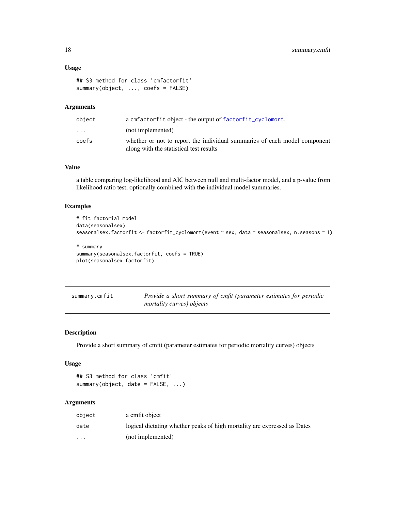# <span id="page-17-0"></span>Usage

```
## S3 method for class 'cmfactorfit'
summary(object, ..., coefs = FALSE)
```
# Arguments

| object                  | a cmfactorfit object - the output of factorfit_cyclomort.                                                            |
|-------------------------|----------------------------------------------------------------------------------------------------------------------|
| $\cdot$ $\cdot$ $\cdot$ | (not implemented)                                                                                                    |
| coefs                   | whether or not to report the individual summaries of each model component<br>along with the statistical test results |

# Value

a table comparing log-likelihood and AIC between null and multi-factor model, and a p-value from likelihood ratio test, optionally combined with the individual model summaries.

# Examples

```
# fit factorial model
data(seasonalsex)
seasonalsex.factorfit <- factorfit_cyclomort(event ~ sex, data = seasonalsex, n.seasons = 1)
# summary
summary(seasonalsex.factorfit, coefs = TRUE)
plot(seasonalsex.factorfit)
```

| summary.cmfit | Provide a short summary of cmfit (parameter estimates for periodic |
|---------------|--------------------------------------------------------------------|
|               | <i>mortality curves) objects</i>                                   |

# Description

Provide a short summary of cmfit (parameter estimates for periodic mortality curves) objects

## Usage

```
## S3 method for class 'cmfit'
summary(object, date = FALSE, ...)
```

| object                  | a cmfit object                                                           |
|-------------------------|--------------------------------------------------------------------------|
| date                    | logical dictating whether peaks of high mortality are expressed as Dates |
| $\cdot$ $\cdot$ $\cdot$ | (not implemented)                                                        |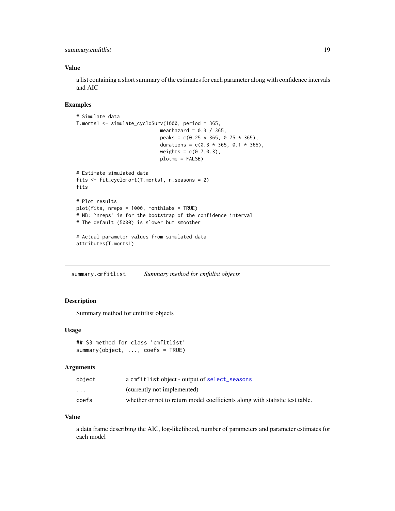<span id="page-18-0"></span>summary.cmfitlist 19

#### Value

a list containing a short summary of the estimates for each parameter along with confidence intervals and AIC

#### Examples

```
# Simulate data
T.morts1 <- simulate_cycloSurv(1000, period = 365,
                              meanhazard = 0.3 / 365,
                              peaks = c(0.25 \times 365, 0.75 \times 365),
                              durations = c(0.3 \times 365, 0.1 \times 365),
                              weights = c(0.7, 0.3),plotme = FALSE)
# Estimate simulated data
fits <- fit_cyclomort(T.morts1, n.seasons = 2)
fits
# Plot results
plot(fits, nreps = 1000, monthlabs = TRUE)
# NB: `nreps` is for the bootstrap of the confidence interval
# The default (5000) is slower but smoother
# Actual parameter values from simulated data
attributes(T.morts1)
```
summary.cmfitlist *Summary method for cmfitlist objects*

# Description

Summary method for cmfitlist objects

#### Usage

## S3 method for class 'cmfitlist' summary(object, ..., coefs = TRUE)

#### Arguments

| object                  | a cmfitlist object - output of select_seasons                                |
|-------------------------|------------------------------------------------------------------------------|
| $\cdot$ $\cdot$ $\cdot$ | (currently not implemented)                                                  |
| coefs                   | whether or not to return model coefficients along with statistic test table. |

#### Value

a data frame describing the AIC, log-likelihood, number of parameters and parameter estimates for each model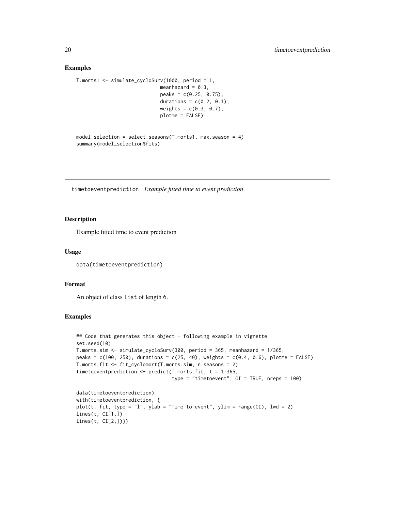#### Examples

```
T.morts1 <- simulate_cycloSurv(1000, period = 1,
                             meanhazard = 0.3,
                             peaks = c(0.25, 0.75),
                             durations = c(0.2, 0.1),
                             weights = c(0.3, 0.7),plotme = FALSE)
```

```
model_selection = select_seasons(T.morts1, max.season = 4)
summary(model_selection$fits)
```
timetoeventprediction *Example fitted time to event prediction*

#### Description

Example fitted time to event prediction

#### Usage

data(timetoeventprediction)

#### Format

An object of class list of length 6.

#### Examples

```
## Code that generates this object - following example in vignette
set.seed(10)
T.morts.sim <- simulate_cycloSurv(300, period = 365, meanhazard = 1/365,
peaks = c(100, 250), durations = c(25, 40), weights = c(0.4, 0.6), plotme = FALSE)
T.morts.fit <- fit_cyclomort(T.morts.sim, n.seasons = 2)
timetoeventprediction <- predict(T.morts.fit, t = 1:365,
                                 type = "timetoevent", CI = TRUE, nreps = 100)
data(timetoeventprediction)
with(timetoeventprediction, {
plot(t, fit, type = "l", ylab = "Time to event", ylim = range(CI), lwd = 2)
lines(t, CI[1,])
lines(t, CI[2,])})
```
<span id="page-19-0"></span>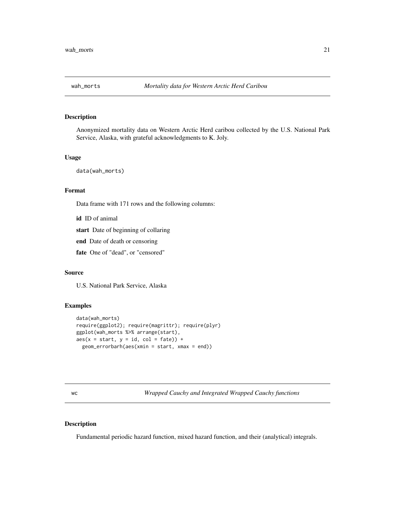<span id="page-20-0"></span>

# Description

Anonymized mortality data on Western Arctic Herd caribou collected by the U.S. National Park Service, Alaska, with grateful acknowledgments to K. Joly.

#### Usage

data(wah\_morts)

#### Format

Data frame with 171 rows and the following columns:

id ID of animal

start Date of beginning of collaring

end Date of death or censoring

fate One of "dead", or "censored"

#### Source

U.S. National Park Service, Alaska

# Examples

```
data(wah_morts)
require(ggplot2); require(magrittr); require(plyr)
ggplot(wah_morts %>% arrange(start),
aes(x = start, y = id, col = fate)) +
 geom_errorbarh(aes(xmin = start, xmax = end))
```
wc *Wrapped Cauchy and Integrated Wrapped Cauchy functions*

#### Description

Fundamental periodic hazard function, mixed hazard function, and their (analytical) integrals.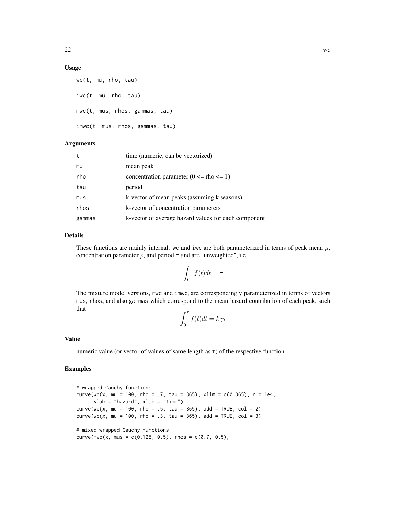### Usage

```
wc(t, mu, rho, tau)
iwc(t, mu, rho, tau)
mwc(t, mus, rhos, gammas, tau)
imwc(t, mus, rhos, gammas, tau)
```
# Arguments

| t      | time (numeric, can be vectorized)                    |
|--------|------------------------------------------------------|
| mu     | mean peak                                            |
| rho    | concentration parameter $(0 \leq r$ ho $\leq 1)$     |
| tau    | period                                               |
| mus    | k-vector of mean peaks (assuming k seasons)          |
| rhos   | k-vector of concentration parameters                 |
| gammas | k-vector of average hazard values for each component |

#### Details

These functions are mainly internal. wc and iwc are both parameterized in terms of peak mean  $\mu$ , concentration parameter  $\rho$ , and period  $\tau$  and are "unweighted", i.e.

$$
\int_0^\tau f(t)dt = \tau
$$

The mixture model versions, mwc and imwc, are correspondingly parameterized in terms of vectors mus, rhos, and also gammas which correspond to the mean hazard contribution of each peak, such that  $\epsilon$ 

$$
\int_0^{\tau} f(t)dt = k\gamma\tau
$$

#### Value

numeric value (or vector of values of same length as t) of the respective function

#### Examples

```
# wrapped Cauchy functions
curve(wc(x, mu = 100, rho = .7, tau = 365), xlim = c(0, 365), n = 1e4,
     ylab = "hazard", xlab = "time")
curve(wc(x, mu = 100, rho = .5, tau = 365), add = TRUE, col = 2)curve(wc(x, mu = 100, rho = .3, tau = 365), add = TRUE, col = 3)# mixed wrapped Cauchy functions
curve(mwc(x, mus = c(0.125, 0.5), rhos = c(0.7, 0.5),
```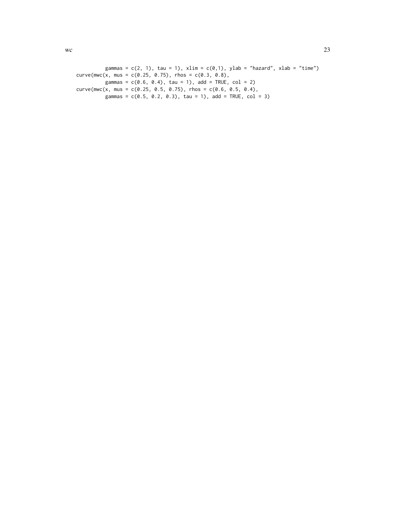```
gammas = c(2, 1), tau = 1), xlim = c(0,1), ylab = "hazard", xlab = "time")
curve(mwc(x, mus = c(0.25, 0.75), rhos = c(0.3, 0.8),gammas = c(0.6, 0.4), tau = 1), add = TRUE, col = 2)
curve(mwc(x, mus = c(0.25, 0.5, 0.75), rhos = c(0.6, 0.5, 0.4),gammas = c(0.5, 0.2, 0.3), tau = 1), add = TRUE, col = 3)
```